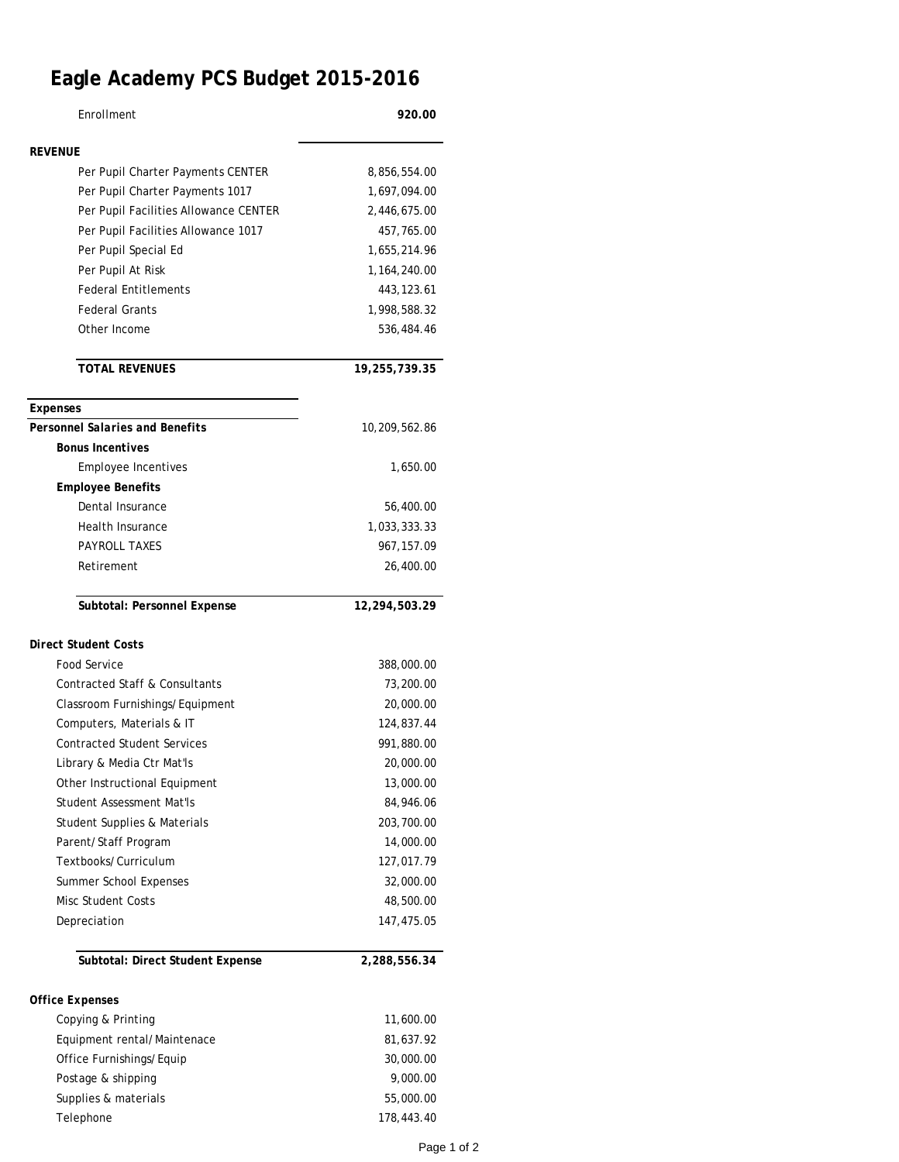## **Eagle Academy PCS Budget 2015-2016**

| Enrollment                                | 920.00        |
|-------------------------------------------|---------------|
| <b>REVENUE</b>                            |               |
| Per Pupil Charter Payments CENTER         | 8,856,554.00  |
| Per Pupil Charter Payments 1017           | 1,697,094.00  |
| Per Pupil Facilities Allowance CENTER     | 2,446,675.00  |
| Per Pupil Facilities Allowance 1017       | 457,765.00    |
| Per Pupil Special Ed                      | 1,655,214.96  |
| Per Pupil At Risk                         | 1,164,240.00  |
| <b>Federal Entitlements</b>               | 443,123.61    |
| <b>Federal Grants</b>                     | 1,998,588.32  |
| Other Income                              | 536,484.46    |
|                                           |               |
| <b>TOTAL REVENUES</b>                     | 19,255,739.35 |
| <b>Expenses</b>                           |               |
| <b>Personnel Salaries and Benefits</b>    | 10,209,562.86 |
| <b>Bonus Incentives</b>                   |               |
| <b>Employee Incentives</b>                | 1,650.00      |
| <b>Employee Benefits</b>                  |               |
| Dental Insurance                          | 56,400.00     |
| Health Insurance                          | 1,033,333.33  |
| PAYROLL TAXES                             | 967, 157.09   |
| Retirement                                | 26,400.00     |
| Subtotal: Personnel Expense               | 12,294,503.29 |
| <b>Direct Student Costs</b>               |               |
| <b>Food Service</b>                       | 388,000.00    |
| <b>Contracted Staff &amp; Consultants</b> | 73,200.00     |
| Classroom Furnishings/Equipment           | 20,000.00     |
| Computers, Materials & IT                 | 124,837.44    |
| <b>Contracted Student Services</b>        | 991,880.00    |
| Library & Media Ctr Mat'ls                | 20,000.00     |
| Other Instructional Equipment             | 13,000.00     |
| <b>Student Assessment Mat'ls</b>          | 84,946.06     |
| Student Supplies & Materials              | 203,700.00    |
| Parent/Staff Program                      | 14,000.00     |
| Textbooks/Curriculum                      | 127,017.79    |
| <b>Summer School Expenses</b>             | 32,000.00     |
| <b>Misc Student Costs</b>                 | 48,500.00     |
| Depreciation                              | 147,475.05    |
|                                           |               |
| Subtotal: Direct Student Expense          | 2,288,556.34  |
| <b>Office Expenses</b>                    |               |
| Copying & Printing                        | 11,600.00     |
| Equipment rental/Maintenace               | 81,637.92     |
| Office Furnishings/Equip                  | 30,000.00     |
| Postage & shipping                        | 9,000.00      |
| Supplies & materials                      | 55,000.00     |
| Telephone                                 | 178,443.40    |